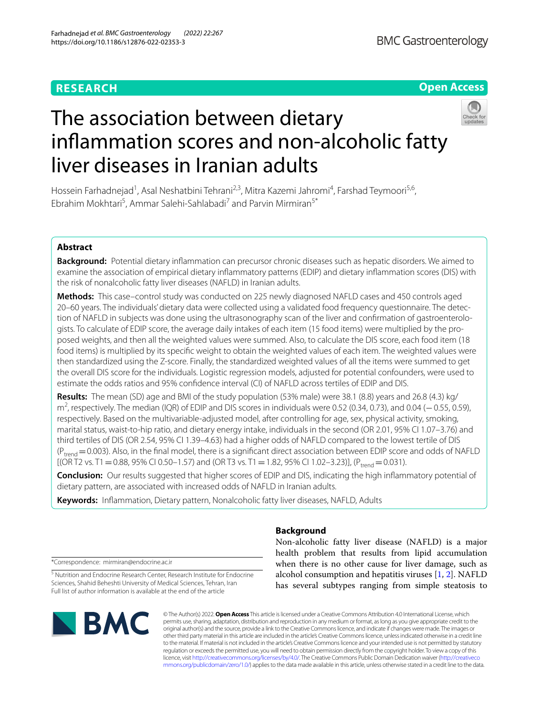# **RESEARCH**

# **Open Access**



# The association between dietary infammation scores and non-alcoholic fatty liver diseases in Iranian adults

Hossein Farhadnejad<sup>1</sup>, Asal Neshatbini Tehrani<sup>2,3</sup>, Mitra Kazemi Jahromi<sup>4</sup>, Farshad Teymoori<sup>5,6</sup>, Ebrahim Mokhtari<sup>5</sup>, Ammar Salehi-Sahlabadi<sup>7</sup> and Parvin Mirmiran<sup>5\*</sup>

# **Abstract**

**Background:** Potential dietary infammation can precursor chronic diseases such as hepatic disorders. We aimed to examine the association of empirical dietary infammatory patterns (EDIP) and dietary infammation scores (DIS) with the risk of nonalcoholic fatty liver diseases (NAFLD) in Iranian adults.

**Methods:** This case–control study was conducted on 225 newly diagnosed NAFLD cases and 450 controls aged 20–60 years. The individuals' dietary data were collected using a validated food frequency questionnaire. The detec‑ tion of NAFLD in subjects was done using the ultrasonography scan of the liver and confirmation of gastroenterologists. To calculate of EDIP score, the average daily intakes of each item (15 food items) were multiplied by the proposed weights, and then all the weighted values were summed. Also, to calculate the DIS score, each food item (18 food items) is multiplied by its specifc weight to obtain the weighted values of each item. The weighted values were then standardized using the Z-score. Finally, the standardized weighted values of all the items were summed to get the overall DIS score for the individuals. Logistic regression models, adjusted for potential confounders, were used to estimate the odds ratios and 95% confdence interval (CI) of NAFLD across tertiles of EDIP and DIS.

**Results:** The mean (SD) age and BMI of the study population (53% male) were 38.1 (8.8) years and 26.8 (4.3) kg/ m<sup>2</sup>, respectively. The median (IQR) of EDIP and DIS scores in individuals were 0.52 (0.34, 0.73), and 0.04 (−0.55, 0.59), respectively. Based on the multivariable-adjusted model, after controlling for age, sex, physical activity, smoking, marital status, waist-to-hip ratio, and dietary energy intake, individuals in the second (OR 2.01, 95% CI 1.07–3.76) and third tertiles of DIS (OR 2.54, 95% CI 1.39–4.63) had a higher odds of NAFLD compared to the lowest tertile of DIS  $(P_{trend} = 0.003)$ . Also, in the final model, there is a significant direct association between EDIP score and odds of NAFLD  $[(\overline{OR}T2 \text{ vs. } T1 = 0.88, 95\% \text{ CI } 0.50-1.57) \text{ and } (\overline{OR}T3 \text{ vs. } T1 = 1.82, 95\% \text{ CI } 1.02-3.23)]$ ,  $(P_{trend} = 0.031)$ .

**Conclusion:** Our results suggested that higher scores of EDIP and DIS, indicating the high infammatory potential of dietary pattern, are associated with increased odds of NAFLD in Iranian adults.

**Keywords:** Infammation, Dietary pattern, Nonalcoholic fatty liver diseases, NAFLD, Adults

# **Background**

\*Correspondence: mirmiran@endocrine.ac.ir

<sup>5</sup> Nutrition and Endocrine Research Center, Research Institute for Endocrine Sciences, Shahid Beheshti University of Medical Sciences, Tehran, Iran Full list of author information is available at the end of the article



Non-alcoholic fatty liver disease (NAFLD) is a major health problem that results from lipid accumulation when there is no other cause for liver damage, such as alcohol consumption and hepatitis viruses [\[1](#page-7-0), [2](#page-7-1)]. NAFLD has several subtypes ranging from simple steatosis to

© The Author(s) 2022. **Open Access** This article is licensed under a Creative Commons Attribution 4.0 International License, which permits use, sharing, adaptation, distribution and reproduction in any medium or format, as long as you give appropriate credit to the original author(s) and the source, provide a link to the Creative Commons licence, and indicate if changes were made. The images or other third party material in this article are included in the article's Creative Commons licence, unless indicated otherwise in a credit line to the material. If material is not included in the article's Creative Commons licence and your intended use is not permitted by statutory regulation or exceeds the permitted use, you will need to obtain permission directly from the copyright holder. To view a copy of this licence, visit [http://creativecommons.org/licenses/by/4.0/.](http://creativecommons.org/licenses/by/4.0/) The Creative Commons Public Domain Dedication waiver ([http://creativeco](http://creativecommons.org/publicdomain/zero/1.0/) [mmons.org/publicdomain/zero/1.0/](http://creativecommons.org/publicdomain/zero/1.0/)) applies to the data made available in this article, unless otherwise stated in a credit line to the data.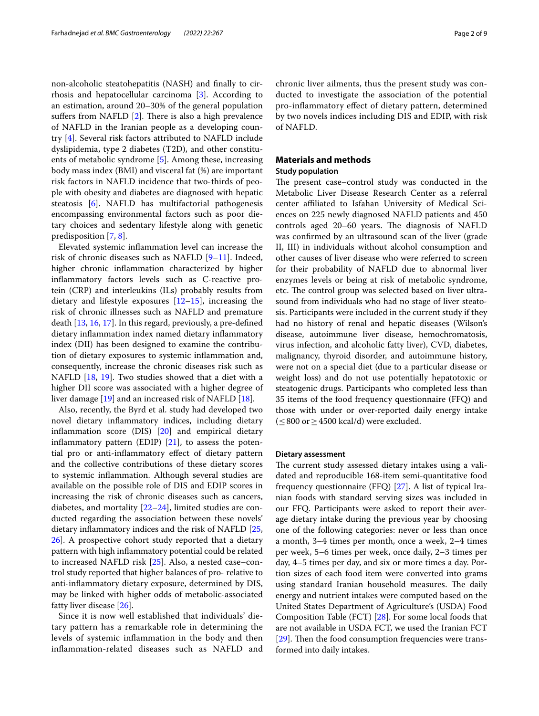non-alcoholic steatohepatitis (NASH) and fnally to cirrhosis and hepatocellular carcinoma [[3\]](#page-7-2). According to an estimation, around 20–30% of the general population suffers from NAFLD  $[2]$  $[2]$ . There is also a high prevalence of NAFLD in the Iranian people as a developing country [[4\]](#page-8-0). Several risk factors attributed to NAFLD include dyslipidemia, type 2 diabetes (T2D), and other constituents of metabolic syndrome [\[5](#page-8-1)]. Among these, increasing body mass index (BMI) and visceral fat (%) are important risk factors in NAFLD incidence that two-thirds of people with obesity and diabetes are diagnosed with hepatic steatosis [[6\]](#page-8-2). NAFLD has multifactorial pathogenesis encompassing environmental factors such as poor dietary choices and sedentary lifestyle along with genetic predisposition [\[7,](#page-8-3) [8](#page-8-4)].

Elevated systemic infammation level can increase the risk of chronic diseases such as NAFLD  $[9-11]$  $[9-11]$ . Indeed, higher chronic infammation characterized by higher infammatory factors levels such as C-reactive protein (CRP) and interleukins (ILs) probably results from dietary and lifestyle exposures  $[12-15]$  $[12-15]$ , increasing the risk of chronic illnesses such as NAFLD and premature death [[13,](#page-8-9) [16](#page-8-10), [17](#page-8-11)]. In this regard, previously, a pre-defned dietary infammation index named dietary infammatory index (DII) has been designed to examine the contribution of dietary exposures to systemic infammation and, consequently, increase the chronic diseases risk such as NAFLD [[18,](#page-8-12) [19](#page-8-13)]. Two studies showed that a diet with a higher DII score was associated with a higher degree of liver damage [\[19\]](#page-8-13) and an increased risk of NAFLD [\[18](#page-8-12)].

Also, recently, the Byrd et al. study had developed two novel dietary infammatory indices, including dietary infammation score (DIS) [[20\]](#page-8-14) and empirical dietary inflammatory pattern (EDIP)  $[21]$  $[21]$ , to assess the potential pro or anti-infammatory efect of dietary pattern and the collective contributions of these dietary scores to systemic infammation. Although several studies are available on the possible role of DIS and EDIP scores in increasing the risk of chronic diseases such as cancers, diabetes, and mortality  $[22-24]$  $[22-24]$ , limited studies are conducted regarding the association between these novels' dietary infammatory indices and the risk of NAFLD [\[25](#page-8-18), [26\]](#page-8-19). A prospective cohort study reported that a dietary pattern with high infammatory potential could be related to increased NAFLD risk [\[25\]](#page-8-18). Also, a nested case–control study reported that higher balances of pro- relative to anti-infammatory dietary exposure, determined by DIS, may be linked with higher odds of metabolic-associated fatty liver disease [\[26](#page-8-19)].

Since it is now well established that individuals' dietary pattern has a remarkable role in determining the levels of systemic infammation in the body and then infammation-related diseases such as NAFLD and chronic liver ailments, thus the present study was conducted to investigate the association of the potential pro-infammatory efect of dietary pattern, determined by two novels indices including DIS and EDIP, with risk of NAFLD.

# **Materials and methods**

# **Study population**

The present case–control study was conducted in the Metabolic Liver Disease Research Center as a referral center afliated to Isfahan University of Medical Sciences on 225 newly diagnosed NAFLD patients and 450 controls aged 20–60 years. The diagnosis of NAFLD was confrmed by an ultrasound scan of the liver (grade II, III) in individuals without alcohol consumption and other causes of liver disease who were referred to screen for their probability of NAFLD due to abnormal liver enzymes levels or being at risk of metabolic syndrome, etc. The control group was selected based on liver ultrasound from individuals who had no stage of liver steatosis. Participants were included in the current study if they had no history of renal and hepatic diseases (Wilson's disease, autoimmune liver disease, hemochromatosis, virus infection, and alcoholic fatty liver), CVD, diabetes, malignancy, thyroid disorder, and autoimmune history, were not on a special diet (due to a particular disease or weight loss) and do not use potentially hepatotoxic or steatogenic drugs. Participants who completed less than 35 items of the food frequency questionnaire (FFQ) and those with under or over-reported daily energy intake  $(\leq 800 \text{ or } \geq 4500 \text{ kcal/d})$  were excluded.

## **Dietary assessment**

The current study assessed dietary intakes using a validated and reproducible 168-item semi-quantitative food frequency questionnaire (FFQ) [\[27](#page-8-20)]. A list of typical Iranian foods with standard serving sizes was included in our FFQ. Participants were asked to report their average dietary intake during the previous year by choosing one of the following categories: never or less than once a month, 3–4 times per month, once a week, 2–4 times per week, 5–6 times per week, once daily, 2–3 times per day, 4–5 times per day, and six or more times a day. Portion sizes of each food item were converted into grams using standard Iranian household measures. The daily energy and nutrient intakes were computed based on the United States Department of Agriculture's (USDA) Food Composition Table (FCT) [[28\]](#page-8-21). For some local foods that are not available in USDA FCT, we used the Iranian FCT [ $29$ ]. Then the food consumption frequencies were transformed into daily intakes.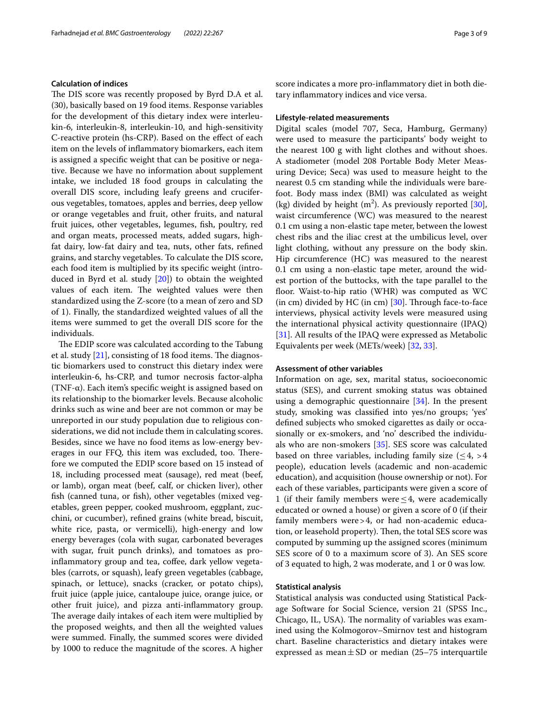# **Calculation of indices**

The DIS score was recently proposed by Byrd D.A et al. (30), basically based on 19 food items. Response variables for the development of this dietary index were interleukin-6, interleukin-8, interleukin-10, and high-sensitivity C-reactive protein (hs-CRP). Based on the efect of each item on the levels of infammatory biomarkers, each item is assigned a specifc weight that can be positive or negative. Because we have no information about supplement intake, we included 18 food groups in calculating the overall DIS score, including leafy greens and cruciferous vegetables, tomatoes, apples and berries, deep yellow or orange vegetables and fruit, other fruits, and natural fruit juices, other vegetables, legumes, fsh, poultry, red and organ meats, processed meats, added sugars, highfat dairy, low-fat dairy and tea, nuts, other fats, refned grains, and starchy vegetables. To calculate the DIS score, each food item is multiplied by its specifc weight (introduced in Byrd et al. study [\[20](#page-8-14)]) to obtain the weighted values of each item. The weighted values were then standardized using the Z-score (to a mean of zero and SD of 1). Finally, the standardized weighted values of all the items were summed to get the overall DIS score for the individuals.

The EDIP score was calculated according to the Tabung et al. study  $[21]$  $[21]$ , consisting of 18 food items. The diagnostic biomarkers used to construct this dietary index were interleukin-6, hs-CRP, and tumor necrosis factor-alpha (TNF-α). Each item's specifc weight is assigned based on its relationship to the biomarker levels. Because alcoholic drinks such as wine and beer are not common or may be unreported in our study population due to religious considerations, we did not include them in calculating scores. Besides, since we have no food items as low-energy beverages in our FFQ, this item was excluded, too. Therefore we computed the EDIP score based on 15 instead of 18, including processed meat (sausage), red meat (beef, or lamb), organ meat (beef, calf, or chicken liver), other fsh (canned tuna, or fsh), other vegetables (mixed vegetables, green pepper, cooked mushroom, eggplant, zucchini, or cucumber), refned grains (white bread, biscuit, white rice, pasta, or vermicelli), high-energy and low energy beverages (cola with sugar, carbonated beverages with sugar, fruit punch drinks), and tomatoes as proinflammatory group and tea, coffee, dark yellow vegetables (carrots, or squash), leafy green vegetables (cabbage, spinach, or lettuce), snacks (cracker, or potato chips), fruit juice (apple juice, cantaloupe juice, orange juice, or other fruit juice), and pizza anti-infammatory group. The average daily intakes of each item were multiplied by the proposed weights, and then all the weighted values were summed. Finally, the summed scores were divided by 1000 to reduce the magnitude of the scores. A higher score indicates a more pro-infammatory diet in both dietary infammatory indices and vice versa.

# **Lifestyle‑related measurements**

Digital scales (model 707, Seca, Hamburg, Germany) were used to measure the participants' body weight to the nearest 100 g with light clothes and without shoes. A stadiometer (model 208 Portable Body Meter Measuring Device; Seca) was used to measure height to the nearest 0.5 cm standing while the individuals were barefoot. Body mass index (BMI) was calculated as weight (kg) divided by height  $(m^2)$ . As previously reported [\[30](#page-8-23)], waist circumference (WC) was measured to the nearest 0.1 cm using a non-elastic tape meter, between the lowest chest ribs and the iliac crest at the umbilicus level, over light clothing, without any pressure on the body skin. Hip circumference (HC) was measured to the nearest 0.1 cm using a non-elastic tape meter, around the widest portion of the buttocks, with the tape parallel to the floor. Waist-to-hip ratio (WHR) was computed as WC (in cm) divided by HC (in cm)  $[30]$  $[30]$  $[30]$ . Through face-to-face interviews, physical activity levels were measured using the international physical activity questionnaire (IPAQ) [[31\]](#page-8-24). All results of the IPAQ were expressed as Metabolic Equivalents per week (METs/week) [[32,](#page-8-25) [33](#page-8-26)].

## **Assessment of other variables**

Information on age, sex, marital status, socioeconomic status (SES), and current smoking status was obtained using a demographic questionnaire [[34](#page-8-27)]. In the present study, smoking was classifed into yes/no groups; 'yes' defned subjects who smoked cigarettes as daily or occasionally or ex-smokers, and 'no' described the individuals who are non-smokers [\[35\]](#page-8-28). SES score was calculated based on three variables, including family size  $(< 4, > 4$ people), education levels (academic and non-academic education), and acquisition (house ownership or not). For each of these variables, participants were given a score of 1 (if their family members were  $\leq$  4, were academically educated or owned a house) or given a score of 0 (if their family members were>4, or had non-academic education, or leasehold property). Then, the total SES score was computed by summing up the assigned scores (minimum SES score of 0 to a maximum score of 3). An SES score of 3 equated to high, 2 was moderate, and 1 or 0 was low.

## **Statistical analysis**

Statistical analysis was conducted using Statistical Package Software for Social Science, version 21 (SPSS Inc., Chicago, IL, USA). The normality of variables was examined using the Kolmogorov–Smirnov test and histogram chart. Baseline characteristics and dietary intakes were expressed as mean $\pm$ SD or median (25–75 interquartile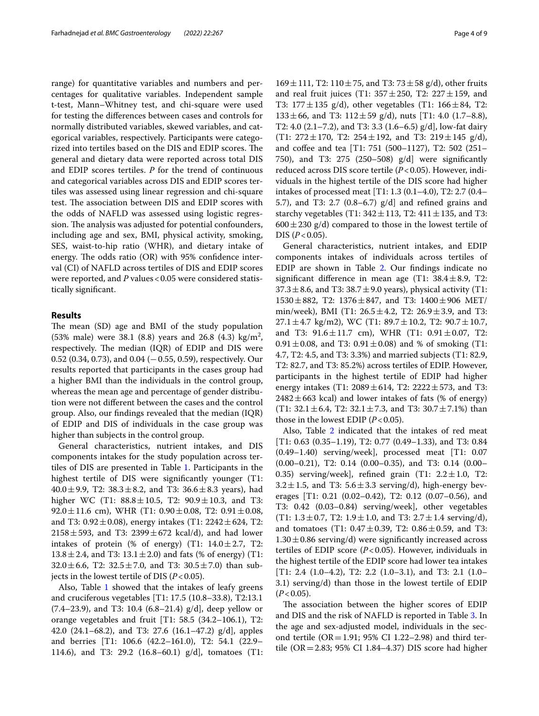range) for quantitative variables and numbers and percentages for qualitative variables. Independent sample t-test, Mann–Whitney test, and chi-square were used for testing the diferences between cases and controls for normally distributed variables, skewed variables, and categorical variables, respectively. Participants were categorized into tertiles based on the DIS and EDIP scores. The general and dietary data were reported across total DIS and EDIP scores tertiles. *P* for the trend of continuous and categorical variables across DIS and EDIP scores tertiles was assessed using linear regression and chi-square test. The association between DIS and EDIP scores with the odds of NAFLD was assessed using logistic regression. The analysis was adjusted for potential confounders, including age and sex, BMI, physical activity, smoking, SES, waist-to-hip ratio (WHR), and dietary intake of energy. The odds ratio  $(OR)$  with 95% confidence interval (CI) of NAFLD across tertiles of DIS and EDIP scores were reported, and *P* values < 0.05 were considered statistically signifcant.

# **Results**

The mean (SD) age and BMI of the study population  $(53\% \text{ male})$  were 38.1  $(8.8)$  years and 26.8  $(4.3)$  kg/m<sup>2</sup>, respectively. The median (IQR) of EDIP and DIS were 0.52 (0.34, 0.73), and 0.04 (−0.55, 0.59), respectively. Our results reported that participants in the cases group had a higher BMI than the individuals in the control group, whereas the mean age and percentage of gender distribution were not diferent between the cases and the control group. Also, our fndings revealed that the median (IQR) of EDIP and DIS of individuals in the case group was higher than subjects in the control group.

General characteristics, nutrient intakes, and DIS components intakes for the study population across tertiles of DIS are presented in Table [1](#page-4-0). Participants in the highest tertile of DIS were signifcantly younger (T1: 40.0 $\pm$ 9.9, T2: 38.3 $\pm$ 8.2, and T3: 36.6 $\pm$ 8.3 years), had higher WC (T1:  $88.8 \pm 10.5$ , T2:  $90.9 \pm 10.3$ , and T3:  $92.0 \pm 11.6$  cm), WHR (T1:  $0.90 \pm 0.08$ , T2:  $0.91 \pm 0.08$ , and T3: 0.92 $\pm$ 0.08), energy intakes (T1: 2242 $\pm$ 624, T2:  $2158 \pm 593$ , and T3:  $2399 \pm 672$  kcal/d), and had lower intakes of protein (% of energy) (T1:  $14.0 \pm 2.7$ , T2:  $13.8 \pm 2.4$ , and T3:  $13.1 \pm 2.0$ ) and fats (% of energy) (T1:  $32.0 \pm 6.6$ , T2:  $32.5 \pm 7.0$ , and T3:  $30.5 \pm 7.0$ ) than subjects in the lowest tertile of DIS  $(P<0.05)$ .

Also, Table [1](#page-4-0) showed that the intakes of leafy greens and cruciferous vegetables [T1: 17.5 (10.8–33.8), T2:13.1  $(7.4–23.9)$ , and T3: 10.4  $(6.8–21.4)$  g/d], deep yellow or orange vegetables and fruit [T1: 58.5 (34.2–106.1), T2: 42.0 (24.1–68.2), and T3: 27.6 (16.1–47.2) g/d], apples and berries [T1: 106.6 (42.2–161.0), T2: 54.1 (22.9– 114.6), and T3: 29.2 (16.8–60.1) g/d], tomatoes (T1:

 $169 \pm 111$ , T2:  $110 \pm 75$ , and T3:  $73 \pm 58$  g/d), other fruits and real fruit juices (T1:  $357 \pm 250$ , T2:  $227 \pm 159$ , and T3:  $177 \pm 135$  g/d), other vegetables (T1:  $166 \pm 84$ , T2:  $133\pm66$ , and T3:  $112\pm59$  g/d), nuts [T1: 4.0 (1.7–8.8), T2: 4.0 (2.1–7.2), and T3: 3.3 (1.6–6.5) g/d], low-fat dairy (T1:  $272 \pm 170$ , T2:  $254 \pm 192$ , and T3:  $219 \pm 145$  g/d), and cofee and tea [T1: 751 (500–1127), T2: 502 (251– 750), and T3: 275 (250–508) g/d] were signifcantly reduced across DIS score tertile (*P*<0.05). However, individuals in the highest tertile of the DIS score had higher intakes of processed meat [T1: 1.3 (0.1–4.0), T2: 2.7 (0.4– 5.7), and T3: 2.7 (0.8–6.7) g/d] and refned grains and starchy vegetables (T1:  $342 \pm 113$ , T2:  $411 \pm 135$ , and T3:  $600 \pm 230$  g/d) compared to those in the lowest tertile of  $DIS (P < 0.05)$ .

General characteristics, nutrient intakes, and EDIP components intakes of individuals across tertiles of EDIP are shown in Table [2.](#page-5-0) Our fndings indicate no significant difference in mean age (T1:  $38.4 \pm 8.9$ , T2:  $37.3 \pm 8.6$ , and T3:  $38.7 \pm 9.0$  years), physical activity (T1:  $1530 \pm 882$ , T2:  $1376 \pm 847$ , and T3:  $1400 \pm 906$  MET/ min/week), BMI (T1:  $26.5 \pm 4.2$ , T2:  $26.9 \pm 3.9$ , and T3:  $27.1 \pm 4.7$  kg/m2), WC (T1:  $89.7 \pm 10.2$ , T2:  $90.7 \pm 10.7$ , and T3:  $91.6 \pm 11.7$  cm), WHR (T1:  $0.91 \pm 0.07$ , T2:  $0.91 \pm 0.08$ , and T3:  $0.91 \pm 0.08$ ) and % of smoking (T1: 4.7, T2: 4.5, and T3: 3.3%) and married subjects (T1: 82.9, T2: 82.7, and T3: 85.2%) across tertiles of EDIP. However, participants in the highest tertile of EDIP had higher energy intakes (T1:  $2089 \pm 614$ , T2:  $2222 \pm 573$ , and T3:  $2482 \pm 663$  kcal) and lower intakes of fats (% of energy) (T1:  $32.1 \pm 6.4$ , T2:  $32.1 \pm 7.3$ , and T3:  $30.7 \pm 7.1\%$ ) than those in the lowest EDIP  $(P<0.05)$ .

Also, Table [2](#page-5-0) indicated that the intakes of red meat [T1: 0.63 (0.35–1.19), T2: 0.77 (0.49–1.33), and T3: 0.84 (0.49–1.40) serving/week], processed meat [T1: 0.07 (0.00–0.21), T2: 0.14 (0.00–0.35), and T3: 0.14 (0.00– 0.35) serving/week], refined grain (T1:  $2.2 \pm 1.0$ , T2:  $3.2 \pm 1.5$ , and T3:  $5.6 \pm 3.3$  serving/d), high-energy beverages [T1: 0.21 (0.02–0.42), T2: 0.12 (0.07–0.56), and T3: 0.42 (0.03–0.84) serving/week], other vegetables (T1:  $1.3 \pm 0.7$ , T2:  $1.9 \pm 1.0$ , and T3:  $2.7 \pm 1.4$  serving/d), and tomatoes (T1:  $0.47 \pm 0.39$ , T2:  $0.86 \pm 0.59$ , and T3:  $1.30 \pm 0.86$  serving/d) were significantly increased across tertiles of EDIP score (*P*<0.05). However, individuals in the highest tertile of the EDIP score had lower tea intakes [T1: 2.4 (1.0–4.2), T2: 2.2 (1.0–3.1), and T3: 2.1 (1.0– 3.1) serving/d) than those in the lowest tertile of EDIP  $(P<0.05)$ .

The association between the higher scores of EDIP and DIS and the risk of NAFLD is reported in Table [3](#page-6-0). In the age and sex-adjusted model, individuals in the second tertile (OR = 1.91; 95% CI 1.22–2.98) and third tertile (OR=2.83; 95% CI 1.84–4.37) DIS score had higher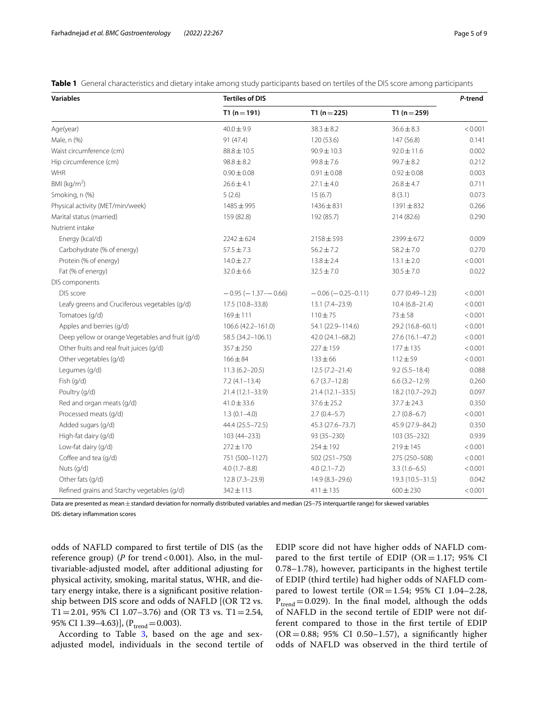<span id="page-4-0"></span>**Table 1** General characteristics and dietary intake among study participants based on tertiles of the DIS score among participants

| <b>Variables</b>                                 | <b>Tertiles of DIS</b>        |                          |                      | P-trend |
|--------------------------------------------------|-------------------------------|--------------------------|----------------------|---------|
|                                                  | $T1(n=191)$                   | T1 $(n=225)$             | T1 $(n=259)$         |         |
| Age(year)                                        | $40.0 \pm 9.9$                | $38.3 \pm 8.2$           | $36.6 \pm 8.3$       | < 0.001 |
| Male, n (%)                                      | 91 (47.4)                     | 120 (53.6)               | 147 (56.8)           | 0.141   |
| Waist circumference (cm)                         | $88.8 \pm 10.5$               | $90.9 \pm 10.3$          | $92.0 \pm 11.6$      | 0.002   |
| Hip circumference (cm)                           | $98.8 \pm 8.2$                | $99.8 \pm 7.6$           | $99.7 \pm 8.2$       | 0.212   |
| <b>WHR</b>                                       | $0.90 \pm 0.08$               | $0.91 \pm 0.08$          | $0.92 \pm 0.08$      | 0.003   |
| BMI ( $kg/m2$ )                                  | $26.6 \pm 4.1$                | $27.1 \pm 4.0$           | $26.8 \pm 4.7$       | 0.711   |
| Smoking, n (%)                                   | 5(2.6)                        | 15(6.7)                  | 8(3.1)               | 0.073   |
| Physical activity (MET/min/week)                 | 1485 ± 995                    | $1436 \pm 831$           | $1391 \pm 832$       | 0.266   |
| Marital status (married)                         | 159 (82.8)                    | 192 (85.7)               | 214 (82.6)           | 0.290   |
| Nutrient intake                                  |                               |                          |                      |         |
| Energy (kcal/d)                                  | $2242 \pm 624$                | $2158 \pm 593$           | $2399 \pm 672$       | 0.009   |
| Carbohydrate (% of energy)                       | $57.5 \pm 7.3$                | $56.2 \pm 7.2$           | $58.2 \pm 7.0$       | 0.270   |
| Protein (% of energy)                            | $14.0 \pm 2.7$                | $13.8 \pm 2.4$           | $13.1 \pm 2.0$       | < 0.001 |
| Fat (% of energy)                                | $32.0 \pm 6.6$                | $32.5 \pm 7.0$           | $30.5 \pm 7.0$       | 0.022   |
| DIS components                                   |                               |                          |                      |         |
| DIS score                                        | $-0.95$ ( $-1.37$ - $-0.66$ ) | $-0.06$ ( $-0.25-0.11$ ) | $0.77(0.49 - 1.23)$  | < 0.001 |
| Leafy greens and Cruciferous vegetables (g/d)    | 17.5 (10.8-33.8)              | $13.1 (7.4 - 23.9)$      | $10.4(6.8 - 21.4)$   | < 0.001 |
| Tomatoes (g/d)                                   | 169±111                       | $110 + 75$               | $73 + 58$            | < 0.001 |
| Apples and berries (g/d)                         | 106.6 (42.2-161.0)            | 54.1 (22.9-114.6)        | 29.2 (16.8-60.1)     | < 0.001 |
| Deep yellow or orange Vegetables and fruit (g/d) | 58.5 (34.2-106.1)             | 42.0 (24.1-68.2)         | $27.6(16.1 - 47.2)$  | < 0.001 |
| Other fruits and real fruit juices (g/d)         | $357 + 250$                   | $227 \pm 159$            | $177 \pm 135$        | < 0.001 |
| Other vegetables (g/d)                           | $166 \pm 84$                  | $133 \pm 66$             | $112 + 59$           | < 0.001 |
| Legumes (g/d)                                    | $11.3(6.2 - 20.5)$            | $12.5(7.2 - 21.4)$       | $9.2(5.5 - 18.4)$    | 0.088   |
| Fish (g/d)                                       | $7.2(4.1 - 13.4)$             | $6.7(3.7-12.8)$          | $6.6$ $(3.2 - 12.9)$ | 0.260   |
| Poultry (g/d)                                    | 21.4 (12.1-33.9)              | $21.4(12.1 - 33.5)$      | 18.2 (10.7-29.2)     | 0.097   |
| Red and organ meats (g/d)                        | $41.0 \pm 33.6$               | $37.6 \pm 25.2$          | $37.7 \pm 24.3$      | 0.350   |
| Processed meats (g/d)                            | $1.3(0.1 - 4.0)$              | $2.7(0.4-5.7)$           | $2.7(0.8-6.7)$       | < 0.001 |
| Added sugars (g/d)                               | 44.4 (25.5 - 72.5)            | 45.3 (27.6–73.7)         | 45.9 (27.9-84.2)     | 0.350   |
| High-fat dairy (g/d)                             | 103 (44 - 233)                | 93 (35-230)              | 103 (35-232)         | 0.939   |
| Low-fat dairy (g/d)                              | $272 \pm 170$                 | $254 \pm 192$            | $219 \pm 145$        | < 0.001 |
| Coffee and tea (q/d)                             | 751 (500-1127)                | 502 (251-750)            | 275 (250-508)        | < 0.001 |
| Nuts (g/d)                                       | $4.0(1.7 - 8.8)$              | $4.0(2.1 - 7.2)$         | $3.3(1.6-6.5)$       | < 0.001 |
| Other fats (g/d)                                 | $12.8(7.3-23.9)$              | $14.9(8.3 - 29.6)$       | 19.3 (10.5-31.5)     | 0.042   |
| Refined grains and Starchy vegetables (g/d)      | $342 \pm 113$                 | $411 \pm 135$            | $600 \pm 230$        | < 0.001 |

Data are presented as mean±standard deviation for normally distributed variables and median (25–75 interquartile range) for skewed variables

DIS: dietary infammation scores

odds of NAFLD compared to frst tertile of DIS (as the reference group) ( $P$  for trend < 0.001). Also, in the multivariable-adjusted model, after additional adjusting for physical activity, smoking, marital status, WHR, and dietary energy intake, there is a signifcant positive relationship between DIS score and odds of NAFLD [(OR T2 vs. T1=2.01, 95% CI 1.07-3.76) and (OR T3 vs. T1=2.54, 95% CI 1.39–4.63)],  $(P_{trend} = 0.003)$ .

According to Table [3,](#page-6-0) based on the age and sexadjusted model, individuals in the second tertile of EDIP score did not have higher odds of NAFLD compared to the first tertile of EDIP ( $OR = 1.17$ ; 95% CI 0.78–1.78), however, participants in the highest tertile of EDIP (third tertile) had higher odds of NAFLD compared to lowest tertile  $(OR = 1.54; 95\% \text{ CI } 1.04-2.28,$  $P_{trend} = 0.029$ ). In the final model, although the odds of NAFLD in the second tertile of EDIP were not different compared to those in the frst tertile of EDIP  $(OR = 0.88; 95\% \text{ CI } 0.50 - 1.57)$ , a significantly higher odds of NAFLD was observed in the third tertile of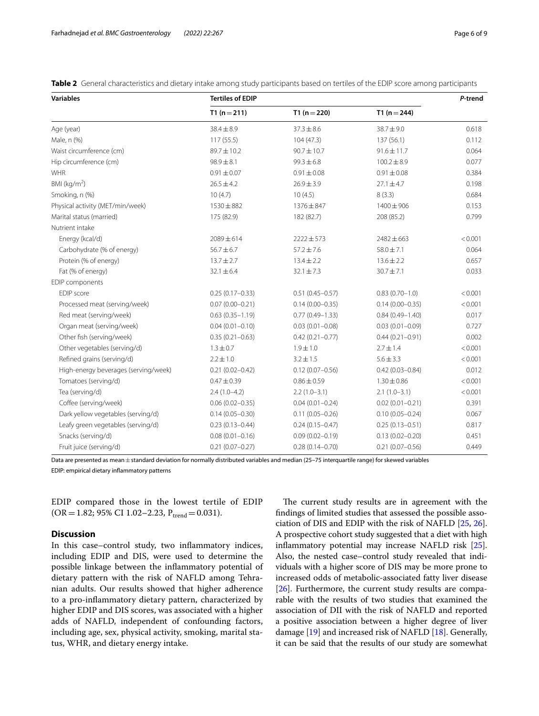<span id="page-5-0"></span>**Table 2** General characteristics and dietary intake among study participants based on tertiles of the EDIP score among participants

| <b>Variables</b>                     | <b>Tertiles of EDIP</b> |                     |                     | P-trend |
|--------------------------------------|-------------------------|---------------------|---------------------|---------|
|                                      | $T1(n=211)$             | T1 $(n=220)$        | T1 ( $n = 244$ )    |         |
| Age (year)                           | $38.4 \pm 8.9$          | $37.3 \pm 8.6$      | 38.7±9.0            | 0.618   |
| Male, n (%)                          | 117 (55.5)              | 104(47.3)           | 137 (56.1)          | 0.112   |
| Waist circumference (cm)             | 89.7±10.2               | $90.7 \pm 10.7$     | $91.6 \pm 11.7$     | 0.064   |
| Hip circumference (cm)               | $98.9 \pm 8.1$          | $99.3 \pm 6.8$      | $100.2 \pm 8.9$     | 0.077   |
| WHR                                  | $0.91 \pm 0.07$         | $0.91 \pm 0.08$     | $0.91 \pm 0.08$     | 0.384   |
| BMI (kg/m <sup>2</sup> )             | $26.5 \pm 4.2$          | $26.9 \pm 3.9$      | $27.1 \pm 4.7$      | 0.198   |
| Smoking, n (%)                       | 10(4.7)                 | 10(4.5)             | 8(3.3)              | 0.684   |
| Physical activity (MET/min/week)     | 1530 ± 882              | 1376 ± 847          | 1400 ± 906          | 0.153   |
| Marital status (married)             | 175 (82.9)              | 182 (82.7)          | 208 (85.2)          | 0.799   |
| Nutrient intake                      |                         |                     |                     |         |
| Energy (kcal/d)                      | $2089 \pm 614$          | $2222 \pm 573$      | $2482 \pm 663$      | < 0.001 |
| Carbohydrate (% of energy)           | $56.7 \pm 6.7$          | $57.2 \pm 7.6$      | $58.0 \pm 7.1$      | 0.064   |
| Protein (% of energy)                | $13.7 \pm 2.7$          | $13.4 \pm 2.2$      | $13.6 \pm 2.2$      | 0.657   |
| Fat (% of energy)                    | $32.1 \pm 6.4$          | $32.1 \pm 7.3$      | $30.7 \pm 7.1$      | 0.033   |
| EDIP components                      |                         |                     |                     |         |
| <b>FDIP</b> score                    | $0.25(0.17-0.33)$       | $0.51(0.45 - 0.57)$ | $0.83(0.70 - 1.0)$  | < 0.001 |
| Processed meat (serving/week)        | $0.07(0.00 - 0.21)$     | $0.14(0.00 - 0.35)$ | $0.14(0.00 - 0.35)$ | < 0.001 |
| Red meat (serving/week)              | $0.63(0.35 - 1.19)$     | $0.77(0.49 - 1.33)$ | $0.84(0.49 - 1.40)$ | 0.017   |
| Organ meat (serving/week)            | $0.04(0.01 - 0.10)$     | $0.03(0.01 - 0.08)$ | $0.03(0.01 - 0.09)$ | 0.727   |
| Other fish (serving/week)            | $0.35(0.21 - 0.63)$     | $0.42(0.21 - 0.77)$ | $0.44(0.21 - 0.91)$ | 0.002   |
| Other vegetables (serving/d)         | $1.3 \pm 0.7$           | $1.9 \pm 1.0$       | $2.7 \pm 1.4$       | < 0.001 |
| Refined grains (serving/d)           | $2.2 \pm 1.0$           | $3.2 \pm 1.5$       | $5.6 \pm 3.3$       | < 0.001 |
| High-energy beverages (serving/week) | $0.21(0.02 - 0.42)$     | $0.12(0.07 - 0.56)$ | $0.42(0.03 - 0.84)$ | 0.012   |
| Tomatoes (serving/d)                 | $0.47 \pm 0.39$         | $0.86 \pm 0.59$     | $1.30 \pm 0.86$     | < 0.001 |
| Tea (serving/d)                      | $2.4(1.0-4.2)$          | $2.2(1.0-3.1)$      | $2.1(1.0-3.1)$      | < 0.001 |
| Coffee (serving/week)                | $0.06(0.02 - 0.35)$     | $0.04(0.01 - 0.24)$ | $0.02(0.01 - 0.21)$ | 0.391   |
| Dark yellow vegetables (serving/d)   | $0.14(0.05 - 0.30)$     | $0.11(0.05 - 0.26)$ | $0.10(0.05 - 0.24)$ | 0.067   |
| Leafy green vegetables (serving/d)   | $0.23(0.13 - 0.44)$     | $0.24(0.15 - 0.47)$ | $0.25(0.13 - 0.51)$ | 0.817   |
| Snacks (serving/d)                   | $0.08(0.01 - 0.16)$     | $0.09(0.02 - 0.19)$ | $0.13(0.02 - 0.20)$ | 0.451   |
| Fruit juice (serving/d)              | $0.21(0.07 - 0.27)$     | $0.28(0.14 - 0.70)$ | $0.21(0.07 - 0.56)$ | 0.449   |

Data are presented as mean±standard deviation for normally distributed variables and median (25–75 interquartile range) for skewed variables

EDIP: empirical dietary infammatory patterns

EDIP compared those in the lowest tertile of EDIP  $(OR = 1.82; 95\% \text{ CI } 1.02 - 2.23, P_{trend} = 0.031).$ 

# **Discussion**

In this case–control study, two infammatory indices, including EDIP and DIS, were used to determine the possible linkage between the infammatory potential of dietary pattern with the risk of NAFLD among Tehranian adults. Our results showed that higher adherence to a pro-infammatory dietary pattern, characterized by higher EDIP and DIS scores, was associated with a higher adds of NAFLD, independent of confounding factors, including age, sex, physical activity, smoking, marital status, WHR, and dietary energy intake.

The current study results are in agreement with the fndings of limited studies that assessed the possible association of DIS and EDIP with the risk of NAFLD [[25,](#page-8-18) [26](#page-8-19)]. A prospective cohort study suggested that a diet with high infammatory potential may increase NAFLD risk [\[25](#page-8-18)]. Also, the nested case–control study revealed that individuals with a higher score of DIS may be more prone to increased odds of metabolic-associated fatty liver disease [[26\]](#page-8-19). Furthermore, the current study results are comparable with the results of two studies that examined the association of DII with the risk of NAFLD and reported a positive association between a higher degree of liver damage [[19](#page-8-13)] and increased risk of NAFLD [\[18](#page-8-12)]. Generally, it can be said that the results of our study are somewhat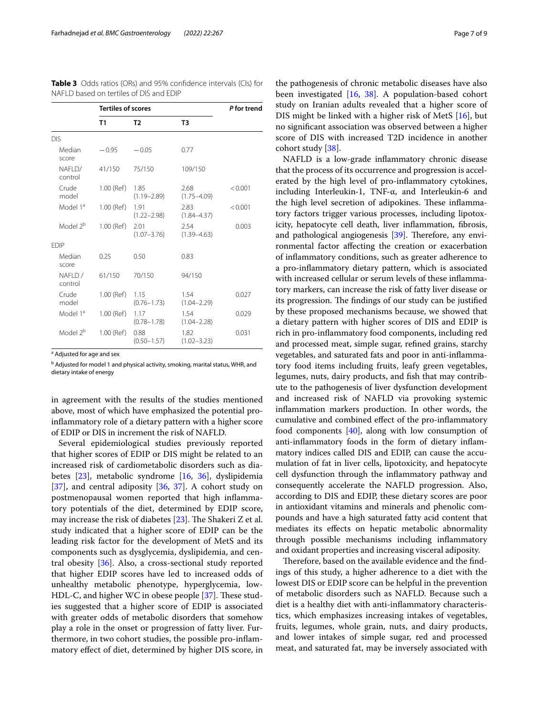<span id="page-6-0"></span>**Table 3** Odds ratios (ORs) and 95% confdence intervals (CIs) for NAFLD based on tertiles of DIS and EDIP

|                       | <b>Tertiles of scores</b> |                         |                         | P for trend |
|-----------------------|---------------------------|-------------------------|-------------------------|-------------|
|                       | T1                        | T <sub>2</sub>          | T <sub>3</sub>          |             |
| <b>DIS</b>            |                           |                         |                         |             |
| Median<br>score       | $-0.95$                   | $-0.05$                 | 0.77                    |             |
| NAFI D/<br>control    | 41/150                    | 75/150                  | 109/150                 |             |
| Crude<br>model        | 1.00 (Ref)                | 1.85<br>$(1.19 - 2.89)$ | 2.68<br>$(1.75 - 4.09)$ | < 0.001     |
| Model 1 <sup>a</sup>  | 1.00 (Ref)                | 1.91<br>$(1.22 - 2.98)$ | 2.83<br>$(1.84 - 4.37)$ | < 0.001     |
| Model 2 <sup>b</sup>  | $1.00$ (Ref)              | 2.01<br>$(1.07 - 3.76)$ | 2.54<br>$(1.39 - 4.63)$ | 0.003       |
| <b>EDIP</b>           |                           |                         |                         |             |
| Median<br>score       | 0.25                      | 0.50                    | 0.83                    |             |
| $NAFI$ D /<br>control | 61/150                    | 70/150                  | 94/150                  |             |
| Crude<br>model        | 1.00 (Ref)                | 1.15<br>$(0.76 - 1.73)$ | 1.54<br>$(1.04 - 2.29)$ | 0.027       |
| Model 1 <sup>a</sup>  | 1.00 (Ref)                | 1.17<br>$(0.78 - 1.78)$ | 1.54<br>$(1.04 - 2.28)$ | 0.029       |
| Model 2 <sup>b</sup>  | $1.00$ (Ref)              | 0.88<br>$(0.50 - 1.57)$ | 1.82<br>$(1.02 - 3.23)$ | 0.031       |

<sup>a</sup> Adjusted for age and sex

<sup>b</sup> Adjusted for model 1 and physical activity, smoking, marital status, WHR, and dietary intake of energy

in agreement with the results of the studies mentioned above, most of which have emphasized the potential proinfammatory role of a dietary pattern with a higher score of EDIP or DIS in increment the risk of NAFLD.

Several epidemiological studies previously reported that higher scores of EDIP or DIS might be related to an increased risk of cardiometabolic disorders such as diabetes [\[23](#page-8-29)], metabolic syndrome [\[16](#page-8-10), [36](#page-8-30)], dyslipidemia [[37\]](#page-8-31), and central adiposity [[36](#page-8-30), 37]. A cohort study on postmenopausal women reported that high infammatory potentials of the diet, determined by EDIP score, may increase the risk of diabetes  $[23]$  $[23]$ . The Shakeri Z et al. study indicated that a higher score of EDIP can be the leading risk factor for the development of MetS and its components such as dysglycemia, dyslipidemia, and central obesity [\[36\]](#page-8-30). Also, a cross-sectional study reported that higher EDIP scores have led to increased odds of unhealthy metabolic phenotype, hyperglycemia, low-HDL-C, and higher WC in obese people  $[37]$  $[37]$ . These studies suggested that a higher score of EDIP is associated with greater odds of metabolic disorders that somehow play a role in the onset or progression of fatty liver. Furthermore, in two cohort studies, the possible pro-infammatory efect of diet, determined by higher DIS score, in

the pathogenesis of chronic metabolic diseases have also been investigated [\[16](#page-8-10), [38\]](#page-8-32). A population-based cohort study on Iranian adults revealed that a higher score of DIS might be linked with a higher risk of MetS [[16](#page-8-10)], but no signifcant association was observed between a higher score of DIS with increased T2D incidence in another cohort study [[38\]](#page-8-32).

NAFLD is a low-grade infammatory chronic disease that the process of its occurrence and progression is accelerated by the high level of pro-infammatory cytokines, including Interleukin‐1, TNF‐α, and Interleukin‐6 and the high level secretion of adipokines. These inflammatory factors trigger various processes, including lipotoxicity, hepatocyte cell death, liver infammation, fbrosis, and pathological angiogenesis  $[39]$  $[39]$  $[39]$ . Therefore, any environmental factor afecting the creation or exacerbation of infammatory conditions, such as greater adherence to a pro-infammatory dietary pattern, which is associated with increased cellular or serum levels of these infammatory markers, can increase the risk of fatty liver disease or its progression. The findings of our study can be justified by these proposed mechanisms because, we showed that a dietary pattern with higher scores of DIS and EDIP is rich in pro-infammatory food components, including red and processed meat, simple sugar, refned grains, starchy vegetables, and saturated fats and poor in anti-infammatory food items including fruits, leafy green vegetables, legumes, nuts, dairy products, and fish that may contribute to the pathogenesis of liver dysfunction development and increased risk of NAFLD via provoking systemic infammation markers production. In other words, the cumulative and combined efect of the pro-infammatory food components [\[40](#page-8-34)], along with low consumption of anti-infammatory foods in the form of dietary infammatory indices called DIS and EDIP, can cause the accumulation of fat in liver cells, lipotoxicity, and hepatocyte cell dysfunction through the infammatory pathway and consequently accelerate the NAFLD progression. Also, according to DIS and EDIP, these dietary scores are poor in antioxidant vitamins and minerals and phenolic compounds and have a high saturated fatty acid content that mediates its efects on hepatic metabolic abnormality through possible mechanisms including infammatory and oxidant properties and increasing visceral adiposity.

Therefore, based on the available evidence and the findings of this study, a higher adherence to a diet with the lowest DIS or EDIP score can be helpful in the prevention of metabolic disorders such as NAFLD. Because such a diet is a healthy diet with anti-infammatory characteristics, which emphasizes increasing intakes of vegetables, fruits, legumes, whole grain, nuts, and dairy products, and lower intakes of simple sugar, red and processed meat, and saturated fat, may be inversely associated with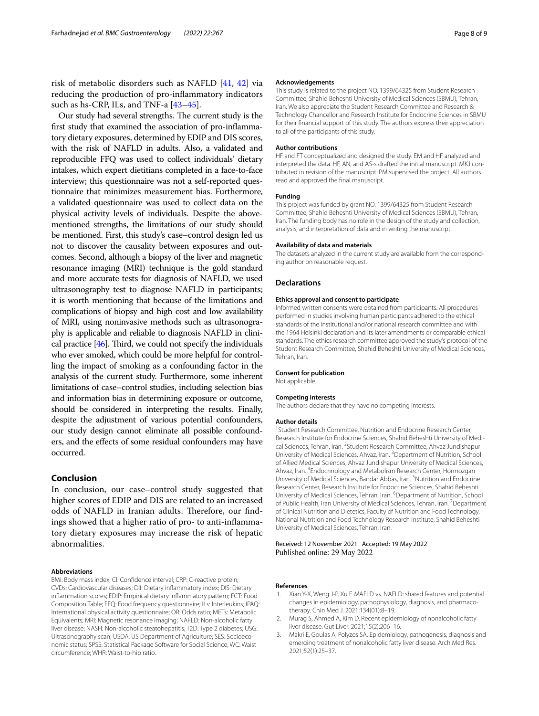risk of metabolic disorders such as NAFLD [\[41](#page-8-35), [42\]](#page-8-36) via reducing the production of pro-infammatory indicators such as hs-CRP, ILs, and TNF-a [\[43](#page-8-37)[–45](#page-8-38)].

Our study had several strengths. The current study is the frst study that examined the association of pro-infammatory dietary exposures, determined by EDIP and DIS scores, with the risk of NAFLD in adults. Also, a validated and reproducible FFQ was used to collect individuals' dietary intakes, which expert dietitians completed in a face-to-face interview; this questionnaire was not a self-reported questionnaire that minimizes measurement bias. Furthermore, a validated questionnaire was used to collect data on the physical activity levels of individuals. Despite the abovementioned strengths, the limitations of our study should be mentioned. First, this study's case–control design led us not to discover the causality between exposures and outcomes. Second, although a biopsy of the liver and magnetic resonance imaging (MRI) technique is the gold standard and more accurate tests for diagnosis of NAFLD, we used ultrasonography test to diagnose NAFLD in participants; it is worth mentioning that because of the limitations and complications of biopsy and high cost and low availability of MRI, using noninvasive methods such as ultrasonography is applicable and reliable to diagnosis NAFLD in clinical practice  $[46]$  $[46]$  $[46]$ . Third, we could not specify the individuals who ever smoked, which could be more helpful for controlling the impact of smoking as a confounding factor in the analysis of the current study. Furthermore, some inherent limitations of case–control studies, including selection bias and information bias in determining exposure or outcome, should be considered in interpreting the results. Finally, despite the adjustment of various potential confounders, our study design cannot eliminate all possible confounders, and the efects of some residual confounders may have occurred.

# **Conclusion**

In conclusion, our case–control study suggested that higher scores of EDIP and DIS are related to an increased odds of NAFLD in Iranian adults. Therefore, our findings showed that a higher ratio of pro- to anti-infammatory dietary exposures may increase the risk of hepatic abnormalities.

#### **Abbreviations**

BMI: Body mass index; CI: Confdence interval; CRP: C-reactive protein; CVDs: Cardiovascular diseases; DII: Dietary infammatory index; DIS: Dietary infammation scores; EDIP: Empirical dietary infammatory pattern; FCT: Food Composition Table; FFQ: Food frequency questionnaire; ILs: Interleukins; IPAQ: International physical activity questionnaire; OR: Odds ratio; METs: Metabolic Equivalents; MRI: Magnetic resonance imaging; NAFLD: Non-alcoholic fatty liver disease; NASH: Non-alcoholic steatohepatitis; T2D: Type 2 diabetes; USG: Ultrasonography scan; USDA: US Department of Agriculture; SES: Socioeconomic status; SPSS: Statistical Package Software for Social Science; WC: Waist circumference; WHR: Waist-to-hip ratio.

#### **Acknowledgements**

This study is related to the project NO. 1399/64325 from Student Research Committee, Shahid Beheshti University of Medical Sciences (SBMU), Tehran, Iran. We also appreciate the Student Research Committee and Research & Technology Chancellor and Research Institute for Endocrine Sciences in SBMU for their fnancial support of this study. The authors express their appreciation to all of the participants of this study.

#### **Author contributions**

HF and FT conceptualized and designed the study. EM and HF analyzed and interpreted the data. HF, AN, and AS-s drafted the initial manuscript. MKJ contributed in revision of the manuscript. PM supervised the project. All authors read and approved the fnal manuscript.

#### **Funding**

This project was funded by grant NO. 1399/64325 from Student Research Committee, Shahid Beheshti University of Medical Sciences (SBMU), Tehran, Iran. The funding body has no role in the design of the study and collection, analysis, and interpretation of data and in writing the manuscript.

#### **Availability of data and materials**

The datasets analyzed in the current study are available from the corresponding author on reasonable request.

#### **Declarations**

#### **Ethics approval and consent to participate**

Informed written consents were obtained from participants. All procedures performed in studies involving human participants adhered to the ethical standards of the institutional and/or national research committee and with the 1964 Helsinki declaration and its later amendments or comparable ethical standards. The ethics research committee approved the study's protocol of the Student Research Committee, Shahid Beheshti University of Medical Sciences, Tehran, Iran.

#### **Consent for publication**

Not applicable.

#### **Competing interests**

The authors declare that they have no competing interests.

#### **Author details**

<sup>1</sup> Student Research Committee, Nutrition and Endocrine Research Center, Research Institute for Endocrine Sciences, Shahid Beheshti University of Medical Sciences, Tehran, Iran. <sup>2</sup> Student Research Committee, Ahvaz Jundishapur University of Medical Sciences, Ahvaz, Iran. <sup>3</sup> Department of Nutrition, School of Allied Medical Sciences, Ahvaz Jundishapur University of Medical Sciences, Ahvaz, Iran. <sup>4</sup>Endocrinology and Metabolism Research Center, Hormozgan University of Medical Sciences, Bandar Abbas, Iran. <sup>5</sup>Nutrition and Endocrine Research Center, Research Institute for Endocrine Sciences, Shahid Beheshti University of Medical Sciences, Tehran, Iran. <sup>6</sup> Department of Nutrition, School of Public Health, Iran University of Medical Sciences, Tehran, Iran. <sup>7</sup> Department of Clinical Nutrition and Dietetics, Faculty of Nutrition and Food Technology, National Nutrition and Food Technology Research Institute, Shahid Beheshti University of Medical Sciences, Tehran, Iran.

### Received: 12 November 2021 Accepted: 19 May 2022 Published online: 29 May 2022

#### **References**

- <span id="page-7-0"></span>1. Xian Y-X, Weng J-P, Xu F. MAFLD vs. NAFLD: shared features and potential changes in epidemiology, pathophysiology, diagnosis, and pharmaco‑ therapy. Chin Med J. 2021;134(01):8–19.
- <span id="page-7-1"></span>2. Murag S, Ahmed A, Kim D. Recent epidemiology of nonalcoholic fatty liver disease. Gut Liver. 2021;15(2):206–16.
- <span id="page-7-2"></span>3. Makri E, Goulas A, Polyzos SA. Epidemiology, pathogenesis, diagnosis and emerging treatment of nonalcoholic fatty liver disease. Arch Med Res. 2021;52(1):25–37.